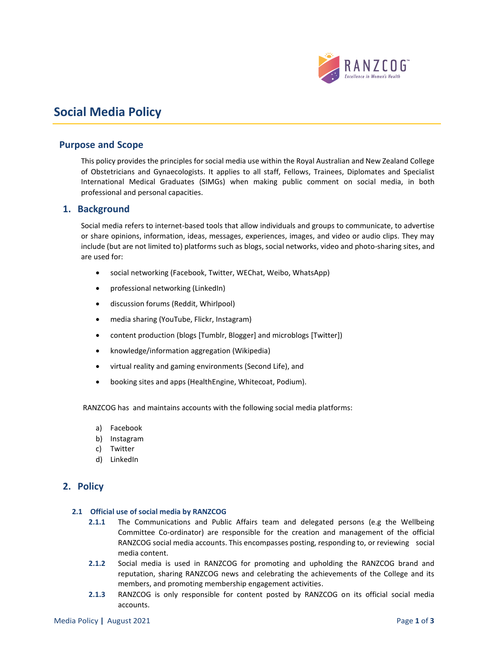

# **Social Media Policy**

## **Purpose and Scope**

This policy provides the principles for social media use within the Royal Australian and New Zealand College of Obstetricians and Gynaecologists. It applies to all staff, Fellows, Trainees, Diplomates and Specialist International Medical Graduates (SIMGs) when making public comment on social media, in both professional and personal capacities.

## **1. Background**

Social media refers to internet-based tools that allow individuals and groups to communicate, to advertise or share opinions, information, ideas, messages, experiences, images, and video or audio clips. They may include (but are not limited to) platforms such as blogs, social networks, video and photo-sharing sites, and are used for:

- social networking (Facebook, Twitter, WEChat, Weibo, WhatsApp)
- professional networking (LinkedIn)
- discussion forums (Reddit, Whirlpool)
- media sharing (YouTube, Flickr, Instagram)
- content production (blogs [Tumblr, Blogger] and microblogs [Twitter])
- knowledge/information aggregation (Wikipedia)
- virtual reality and gaming environments (Second Life), and
- booking sites and apps (HealthEngine, Whitecoat, Podium).

RANZCOG has and maintains accounts with the following social media platforms:

- a) Facebook
- b) Instagram
- c) Twitter
- d) LinkedIn

## **2. Policy**

#### **2.1 Official use of social media by RANZCOG**

- **2.1.1** The Communications and Public Affairs team and delegated persons (e.g the Wellbeing Committee Co-ordinator) are responsible for the creation and management of the official RANZCOG social media accounts. This encompasses posting, responding to, or reviewing social media content.
- **2.1.2** Social media is used in RANZCOG for promoting and upholding the RANZCOG brand and reputation, sharing RANZCOG news and celebrating the achievements of the College and its members, and promoting membership engagement activities.
- **2.1.3** RANZCOG is only responsible for content posted by RANZCOG on its official social media accounts.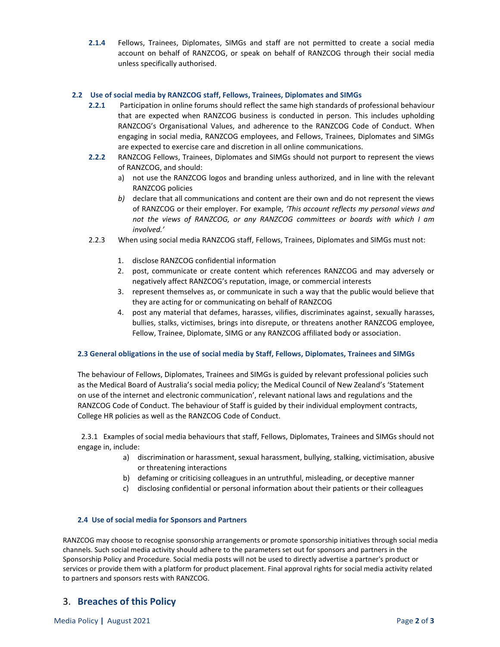**2.1.4** Fellows, Trainees, Diplomates, SIMGs and staff are not permitted to create a social media account on behalf of RANZCOG, or speak on behalf of RANZCOG through their social media unless specifically authorised.

#### **2.2 Use of social media by RANZCOG staff, Fellows, Trainees, Diplomates and SIMGs**

- **2.2.1** Participation in online forums should reflect the same high standards of professional behaviour that are expected when RANZCOG business is conducted in person. This includes upholding RANZCOG's Organisational Values, and adherence to the RANZCOG Code of Conduct. When engaging in social media, RANZCOG employees, and Fellows, Trainees, Diplomates and SIMGs are expected to exercise care and discretion in all online communications.
- **2.2.2** RANZCOG Fellows, Trainees, Diplomates and SIMGs should not purport to represent the views of RANZCOG, and should:
	- a) not use the RANZCOG logos and branding unless authorized, and in line with the relevant RANZCOG policies
	- *b)* declare that all communications and content are their own and do not represent the views of RANZCOG or their employer. For example, *'This account reflects my personal views and not the views of RANZCOG, or any RANZCOG committees or boards with which I am involved.'*
- 2.2.3 When using social media RANZCOG staff, Fellows, Trainees, Diplomates and SIMGs must not:
	- 1. disclose RANZCOG confidential information
	- 2. post, communicate or create content which references RANZCOG and may adversely or negatively affect RANZCOG's reputation, image, or commercial interests
	- 3. represent themselves as, or communicate in such a way that the public would believe that they are acting for or communicating on behalf of RANZCOG
	- 4. post any material that defames, harasses, vilifies, discriminates against, sexually harasses, bullies, stalks, victimises, brings into disrepute, or threatens another RANZCOG employee, Fellow, Trainee, Diplomate, SIMG or any RANZCOG affiliated body or association.

#### **2.3 General obligations in the use of social media by Staff, Fellows, Diplomates, Trainees and SIMGs**

The behaviour of Fellows, Diplomates, Trainees and SIMGs is guided by relevant professional policies such as the Medical Board of Australia's social media policy; the Medical Council of New Zealand's 'Statement on use of the internet and electronic communication', relevant national laws and regulations and the RANZCOG Code of Conduct. The behaviour of Staff is guided by their individual employment contracts, College HR policies as well as the RANZCOG Code of Conduct.

 2.3.1 Examples of social media behaviours that staff, Fellows, Diplomates, Trainees and SIMGs should not engage in, include:

- a) discrimination or harassment, sexual harassment, bullying, stalking, victimisation, abusive or threatening interactions
- b) defaming or criticising colleagues in an untruthful, misleading, or deceptive manner
- c) disclosing confidential or personal information about their patients or their colleagues

#### **2.4 Use of social media for Sponsors and Partners**

RANZCOG may choose to recognise sponsorship arrangements or promote sponsorship initiatives through social media channels. Such social media activity should adhere to the parameters set out for sponsors and partners in the Sponsorship Policy and Procedure. Social media posts will not be used to directly advertise a partner's product or services or provide them with a platform for product placement. Final approval rights for social media activity related to partners and sponsors rests with RANZCOG.

## 3. **Breaches of this Policy**